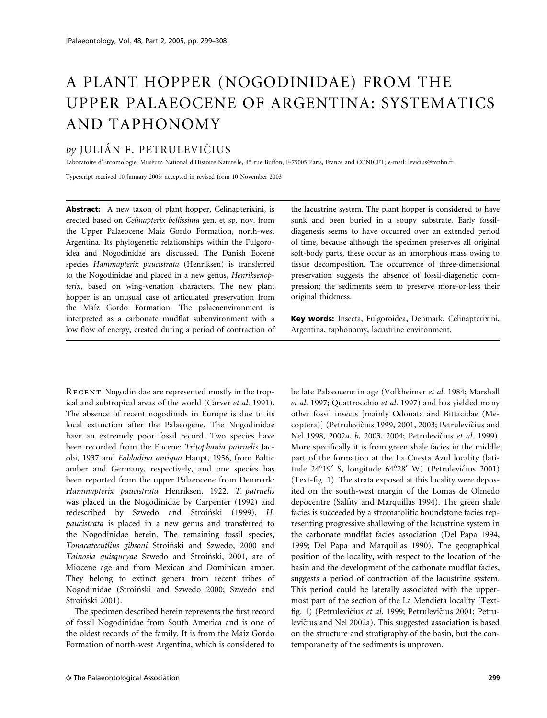# A PLANT HOPPER (NOGODINIDAE) FROM THE UPPER PALAEOCENE OF ARGENTINA: SYSTEMATICS AND TAPHONOMY

## by JULIÁN F. PETRULEVIČIUS

Laboratoire d'Entomologie, Muséum National d'Histoire Naturelle, 45 rue Buffon, F-75005 Paris, France and CONICET; e-mail: levicius@mnhn.fr

Typescript received 10 January 2003; accepted in revised form 10 November 2003

Abstract: A new taxon of plant hopper, Celinapterixini, is erected based on Celinapterix bellissima gen. et sp. nov. from the Upper Palaeocene Maíz Gordo Formation, north-west Argentina. Its phylogenetic relationships within the Fulgoroidea and Nogodinidae are discussed. The Danish Eocene species Hammapterix paucistrata (Henriksen) is transferred to the Nogodinidae and placed in a new genus, Henriksenopterix, based on wing-venation characters. The new plant hopper is an unusual case of articulated preservation from the Maíz Gordo Formation. The palaeoenvironment is interpreted as a carbonate mudflat subenvironment with a low flow of energy, created during a period of contraction of

Recent Nogodinidae are represented mostly in the tropical and subtropical areas of the world (Carver et al. 1991). The absence of recent nogodinids in Europe is due to its local extinction after the Palaeogene. The Nogodinidae have an extremely poor fossil record. Two species have been recorded from the Eocene: Tritophania patruelis Jacobi, 1937 and Eobladina antiqua Haupt, 1956, from Baltic amber and Germany, respectively, and one species has been reported from the upper Palaeocene from Denmark: Hammapterix paucistrata Henriksen, 1922. T. patruelis was placed in the Nogodinidae by Carpenter (1992) and redescribed by Szwedo and Stroin´ski (1999). H. paucistrata is placed in a new genus and transferred to the Nogodinidae herein. The remaining fossil species, Tonacatecutlius gibsoni Stroiński and Szwedo, 2000 and Tainosia quisqueyae Szwedo and Stroiński, 2001, are of Miocene age and from Mexican and Dominican amber. They belong to extinct genera from recent tribes of Nogodinidae (Stroiński and Szwedo 2000; Szwedo and Stroiński 2001).

The specimen described herein represents the first record of fossil Nogodinidae from South America and is one of the oldest records of the family. It is from the Maíz Gordo Formation of north-west Argentina, which is considered to

the lacustrine system. The plant hopper is considered to have sunk and been buried in a soupy substrate. Early fossildiagenesis seems to have occurred over an extended period of time, because although the specimen preserves all original soft-body parts, these occur as an amorphous mass owing to tissue decomposition. The occurrence of three-dimensional preservation suggests the absence of fossil-diagenetic compression; the sediments seem to preserve more-or-less their original thickness.

Key words: Insecta, Fulgoroidea, Denmark, Celinapterixini, Argentina, taphonomy, lacustrine environment.

be late Palaeocene in age (Volkheimer et al. 1984; Marshall et al. 1997; Quattrocchio et al. 1997) and has yielded many other fossil insects [mainly Odonata and Bittacidae (Mecoptera)] (Petrulevičius 1999, 2001, 2003; Petrulevičius and Nel 1998, 2002a, b, 2003, 2004; Petrulevičius et al. 1999). More specifically it is from green shale facies in the middle part of the formation at the La Cuesta Azul locality (latitude  $24^{\circ}19'$  S, longitude  $64^{\circ}28'$  W) (Petrulevičius 2001) (Text-fig. 1). The strata exposed at this locality were deposited on the south-west margin of the Lomas de Olmedo depocentre (Salfity and Marquillas 1994). The green shale facies is succeeded by a stromatolitic boundstone facies representing progressive shallowing of the lacustrine system in the carbonate mudflat facies association (Del Papa 1994, 1999; Del Papa and Marquillas 1990). The geographical position of the locality, with respect to the location of the basin and the development of the carbonate mudflat facies, suggests a period of contraction of the lacustrine system. This period could be laterally associated with the uppermost part of the section of the La Mendieta locality (Textfig. 1) (Petrulevičius et al. 1999; Petrulevičius 2001; Petrulevičius and Nel 2002a). This suggested association is based on the structure and stratigraphy of the basin, but the contemporaneity of the sediments is unproven.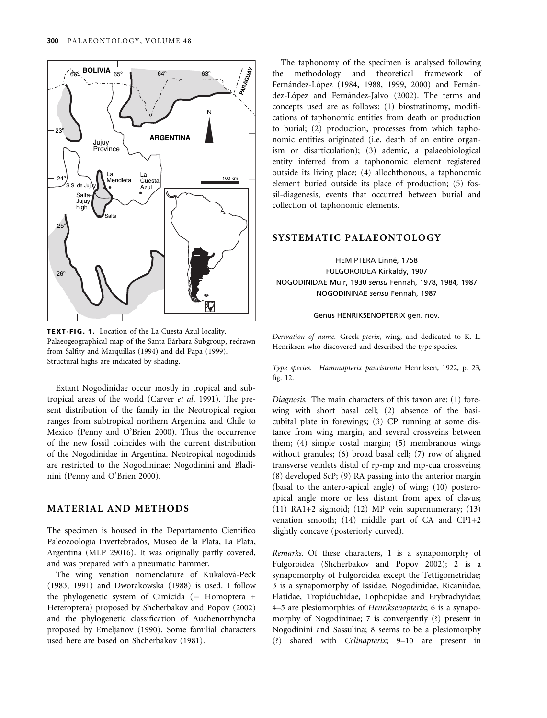

TEXT-FIG. 1. Location of the La Cuesta Azul locality. Palaeogeographical map of the Santa Bárbara Subgroup, redrawn from Salfity and Marquillas (1994) and del Papa (1999). Structural highs are indicated by shading.

Extant Nogodinidae occur mostly in tropical and subtropical areas of the world (Carver et al. 1991). The present distribution of the family in the Neotropical region ranges from subtropical northern Argentina and Chile to Mexico (Penny and O'Brien 2000). Thus the occurrence of the new fossil coincides with the current distribution of the Nogodinidae in Argentina. Neotropical nogodinids are restricted to the Nogodininae: Nogodinini and Bladinini (Penny and O'Brien 2000).

## MATERIAL AND METHODS

The specimen is housed in the Departamento Científico Paleozoología Invertebrados, Museo de la Plata, La Plata, Argentina (MLP 29016). It was originally partly covered, and was prepared with a pneumatic hammer.

The wing venation nomenclature of Kukalová-Peck (1983, 1991) and Dworakowska (1988) is used. I follow the phylogenetic system of Cimicida ( $=$  Homoptera + Heteroptera) proposed by Shcherbakov and Popov (2002) and the phylogenetic classification of Auchenorrhyncha proposed by Emeljanov (1990). Some familial characters used here are based on Shcherbakov (1981).

The taphonomy of the specimen is analysed following the methodology and theoretical framework of Fernández-López (1984, 1988, 1999, 2000) and Fernández-López and Fernández-Jalvo (2002). The terms and concepts used are as follows: (1) biostratinomy, modifications of taphonomic entities from death or production to burial; (2) production, processes from which taphonomic entities originated (i.e. death of an entire organism or disarticulation); (3) ademic, a palaeobiological entity inferred from a taphonomic element registered outside its living place; (4) allochthonous, a taphonomic element buried outside its place of production; (5) fossil-diagenesis, events that occurred between burial and collection of taphonomic elements.

## SYSTEMATIC PALAEONTOLOGY

HEMIPTERA Linné, 1758 FULGOROIDEA Kirkaldy, 1907 NOGODINIDAE Muir, 1930 sensu Fennah, 1978, 1984, 1987 NOGODININAE sensu Fennah, 1987

#### Genus HENRIKSENOPTERIX gen. nov.

Derivation of name. Greek pterix, wing, and dedicated to K. L. Henriksen who discovered and described the type species.

Type species. Hammapterix paucistriata Henriksen, 1922, p. 23, fig. 12.

Diagnosis. The main characters of this taxon are: (1) forewing with short basal cell; (2) absence of the basicubital plate in forewings; (3) CP running at some distance from wing margin, and several crossveins between them; (4) simple costal margin; (5) membranous wings without granules; (6) broad basal cell; (7) row of aligned transverse veinlets distal of rp-mp and mp-cua crossveins; (8) developed ScP; (9) RA passing into the anterior margin (basal to the antero-apical angle) of wing; (10) posteroapical angle more or less distant from apex of clavus; (11) RA1+2 sigmoid; (12) MP vein supernumerary; (13) venation smooth; (14) middle part of CA and CP1+2 slightly concave (posteriorly curved).

Remarks. Of these characters, 1 is a synapomorphy of Fulgoroidea (Shcherbakov and Popov 2002); 2 is a synapomorphy of Fulgoroidea except the Tettigometridae; 3 is a synapomorphy of Issidae, Nogodinidae, Ricaniidae, Flatidae, Tropiduchidae, Lophopidae and Erybrachyidae; 4–5 are plesiomorphies of Henriksenopterix; 6 is a synapomorphy of Nogodininae; 7 is convergently (?) present in Nogodinini and Sassulina; 8 seems to be a plesiomorphy (?) shared with Celinapterix; 9–10 are present in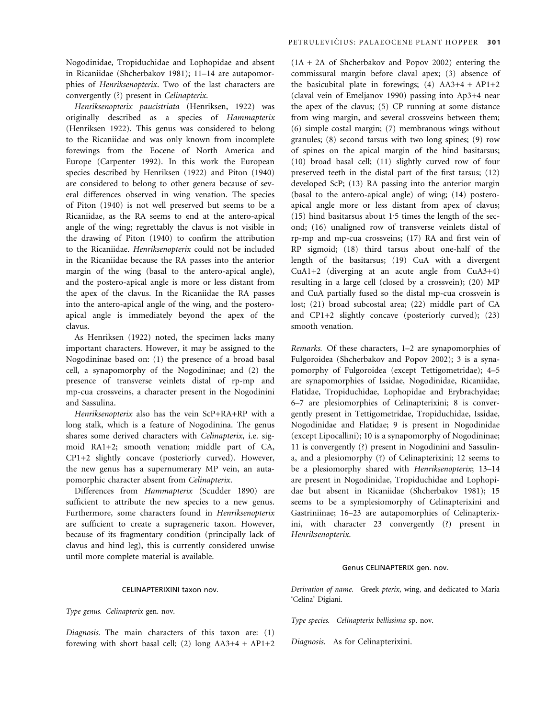Nogodinidae, Tropiduchidae and Lophopidae and absent in Ricaniidae (Shcherbakov 1981); 11–14 are autapomorphies of Henriksenopterix. Two of the last characters are convergently (?) present in Celinapterix.

Henriksenopterix paucistriata (Henriksen, 1922) was originally described as a species of Hammapterix (Henriksen 1922). This genus was considered to belong to the Ricaniidae and was only known from incomplete forewings from the Eocene of North America and Europe (Carpenter 1992). In this work the European species described by Henriksen (1922) and Piton (1940) are considered to belong to other genera because of several differences observed in wing venation. The species of Piton (1940) is not well preserved but seems to be a Ricaniidae, as the RA seems to end at the antero-apical angle of the wing; regrettably the clavus is not visible in the drawing of Piton (1940) to confirm the attribution to the Ricaniidae. Henriksenopterix could not be included in the Ricaniidae because the RA passes into the anterior margin of the wing (basal to the antero-apical angle), and the postero-apical angle is more or less distant from the apex of the clavus. In the Ricaniidae the RA passes into the antero-apical angle of the wing, and the posteroapical angle is immediately beyond the apex of the clavus.

As Henriksen (1922) noted, the specimen lacks many important characters. However, it may be assigned to the Nogodininae based on: (1) the presence of a broad basal cell, a synapomorphy of the Nogodininae; and (2) the presence of transverse veinlets distal of rp-mp and mp-cua crossveins, a character present in the Nogodinini and Sassulina.

Henriksenopterix also has the vein ScP+RA+RP with a long stalk, which is a feature of Nogodinina. The genus shares some derived characters with Celinapterix, i.e. sigmoid RA1+2; smooth venation; middle part of CA, CP1+2 slightly concave (posteriorly curved). However, the new genus has a supernumerary MP vein, an autapomorphic character absent from Celinapterix.

Differences from Hammapterix (Scudder 1890) are sufficient to attribute the new species to a new genus. Furthermore, some characters found in Henriksenopterix are sufficient to create a suprageneric taxon. However, because of its fragmentary condition (principally lack of clavus and hind leg), this is currently considered unwise until more complete material is available.

#### CELINAPTERIXINI taxon nov.

Type genus. Celinapterix gen. nov.

Diagnosis. The main characters of this taxon are: (1) forewing with short basal cell; (2) long  $AA3+4 + AP1+2$ 

(1A + 2A of Shcherbakov and Popov 2002) entering the commissural margin before claval apex; (3) absence of the basicubital plate in forewings;  $(4)$  AA3+4 + AP1+2 (claval vein of Emeljanov 1990) passing into Ap3+4 near the apex of the clavus; (5) CP running at some distance from wing margin, and several crossveins between them; (6) simple costal margin; (7) membranous wings without granules; (8) second tarsus with two long spines; (9) row of spines on the apical margin of the hind basitarsus; (10) broad basal cell; (11) slightly curved row of four preserved teeth in the distal part of the first tarsus; (12) developed ScP; (13) RA passing into the anterior margin (basal to the antero-apical angle) of wing; (14) posteroapical angle more or less distant from apex of clavus;  $(15)$  hind basitarsus about 1.5 times the length of the second; (16) unaligned row of transverse veinlets distal of rp-mp and mp-cua crossveins; (17) RA and first vein of RP sigmoid; (18) third tarsus about one-half of the length of the basitarsus; (19) CuA with a divergent CuA1+2 (diverging at an acute angle from CuA3+4) resulting in a large cell (closed by a crossvein); (20) MP and CuA partially fused so the distal mp-cua crossvein is lost; (21) broad subcostal area; (22) middle part of CA and CP1+2 slightly concave (posteriorly curved); (23) smooth venation.

Remarks. Of these characters, 1–2 are synapomorphies of Fulgoroidea (Shcherbakov and Popov 2002); 3 is a synapomorphy of Fulgoroidea (except Tettigometridae); 4–5 are synapomorphies of Issidae, Nogodinidae, Ricaniidae, Flatidae, Tropiduchidae, Lophopidae and Erybrachyidae; 6–7 are plesiomorphies of Celinapterixini; 8 is convergently present in Tettigometridae, Tropiduchidae, Issidae, Nogodinidae and Flatidae; 9 is present in Nogodinidae (except Lipocallini); 10 is a synapomorphy of Nogodininae; 11 is convergently (?) present in Nogodinini and Sassulina, and a plesiomorphy (?) of Celinapterixini; 12 seems to be a plesiomorphy shared with Henriksenopterix; 13–14 are present in Nogodinidae, Tropiduchidae and Lophopidae but absent in Ricaniidae (Shcherbakov 1981); 15 seems to be a symplesiomorphy of Celinapterixini and Gastriniinae; 16–23 are autapomorphies of Celinapterixini, with character 23 convergently (?) present in Henriksenopterix.

#### Genus CELINAPTERIX gen. nov.

Derivation of name. Greek pterix, wing, and dedicated to María 'Celina' Digiani.

Type species. Celinapterix bellissima sp. nov.

Diagnosis. As for Celinapterixini.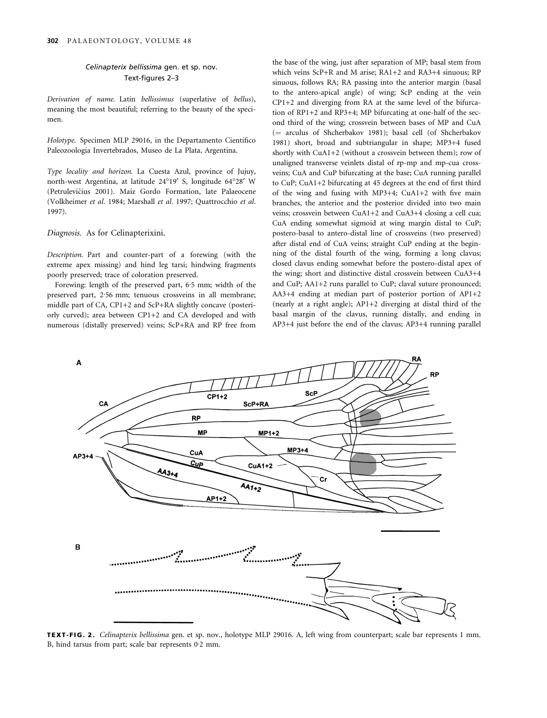### Celinapterix bellissima gen. et sp. nov. Text-figures 2–3

Derivation of name. Latin bellissimus (superlative of bellus), meaning the most beautiful; referring to the beauty of the specimen.

Holotype. Specimen MLP 29016, in the Departamento Científico Paleozoología Invertebrados, Museo de La Plata, Argentina.

Type locality and horizon. La Cuesta Azul, province of Jujuy, north-west Argentina, at latitude  $24^{\circ}19'$  S, longitude  $64^{\circ}28'$  W (Petrulevičius 2001). Maíz Gordo Formation, late Palaeocene (Volkheimer et al. 1984; Marshall et al. 1997; Quattrocchio et al. 1997).

Diagnosis. As for Celinapterixini.

Description. Part and counter-part of a forewing (with the extreme apex missing) and hind leg tarsi; hindwing fragments poorly preserved; trace of coloration preserved.

Forewing: length of the preserved part, 6.5 mm; width of the preserved part, 2.56 mm; tenuous crossveins in all membrane; middle part of CA, CP1+2 and ScP+RA slightly concave (posteriorly curved); area between CP1+2 and CA developed and with numerous (distally preserved) veins; ScP+RA and RP free from

the base of the wing, just after separation of MP; basal stem from which veins ScP+R and M arise; RA1+2 and RA3+4 sinuous; RP sinuous, follows RA; RA passing into the anterior margin (basal to the antero-apical angle) of wing; ScP ending at the vein CP1+2 and diverging from RA at the same level of the bifurcation of RP1+2 and RP3+4; MP bifurcating at one-half of the second third of the wing; crossvein between bases of MP and CuA (¼ arculus of Shcherbakov 1981); basal cell (of Shcherbakov 1981) short, broad and subtriangular in shape; MP3+4 fused shortly with CuA1+2 (without a crossvein between them); row of unaligned transverse veinlets distal of rp-mp and mp-cua crossveins; CuA and CuP bifurcating at the base; CuA running parallel to CuP; CuA1+2 bifurcating at 45 degrees at the end of first third of the wing and fusing with MP3+4; CuA1+2 with five main branches, the anterior and the posterior divided into two main veins; crossvein between CuA1+2 and CuA3+4 closing a cell cua; CuA ending somewhat sigmoid at wing margin distal to CuP; postero-basal to antero-distal line of crossveins (two preserved) after distal end of CuA veins; straight CuP ending at the beginning of the distal fourth of the wing, forming a long clavus; closed clavus ending somewhat before the postero-distal apex of the wing; short and distinctive distal crossvein between CuA3+4 and CuP; AA1+2 runs parallel to CuP; claval suture pronounced; AA3+4 ending at median part of posterior portion of AP1+2 (nearly at a right angle); AP1+2 diverging at distal third of the basal margin of the clavus, running distally, and ending in AP3+4 just before the end of the clavus; AP3+4 running parallel



TEXT-FIG. 2. Celinapterix bellissima gen. et sp. nov., holotype MLP 29016. A, left wing from counterpart; scale bar represents 1 mm. B, hind tarsus from part; scale bar represents 0.2 mm.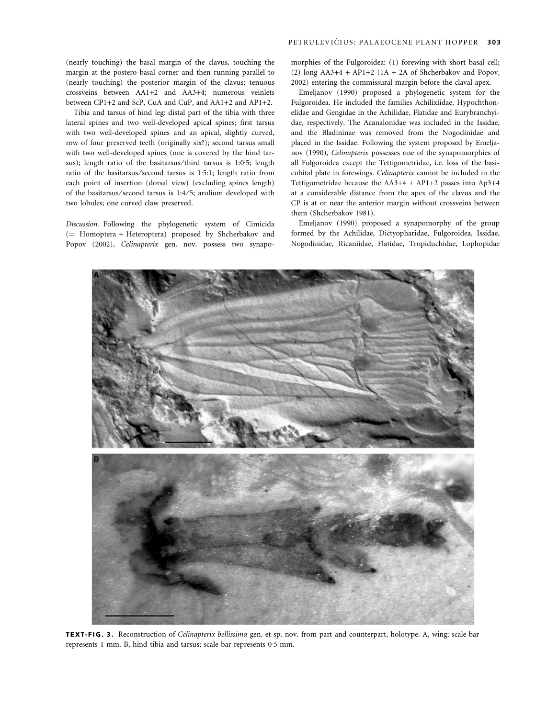(nearly touching) the basal margin of the clavus, touching the margin at the postero-basal corner and then running parallel to (nearly touching) the posterior margin of the clavus; tenuous crossveins between AA1+2 and AA3+4; numerous veinlets between CP1+2 and ScP, CuA and CuP, and AA1+2 and AP1+2.

Tibia and tarsus of hind leg: distal part of the tibia with three lateral spines and two well-developed apical spines; first tarsus with two well-developed spines and an apical, slightly curved, row of four preserved teeth (originally six?); second tarsus small with two well-developed spines (one is covered by the hind tarsus); length ratio of the basitarsus/third tarsus is 1:0.5; length ratio of the basitarsus/second tarsus is 1.5:1; length ratio from each point of insertion (dorsal view) (excluding spines length) of the basitarsus⁄second tarsus is 1:4 ⁄ 5; arolium developed with two lobules; one curved claw preserved.

Discussion. Following the phylogenetic system of Cimicida  $($  Homoptera + Heteroptera) proposed by Shcherbakov and Popov (2002), Celinapterix gen. nov. possess two synapomorphies of the Fulgoroidea: (1) forewing with short basal cell; (2) long AA3+4 + AP1+2 (1A + 2A of Shcherbakov and Popov, 2002) entering the commissural margin before the claval apex.

Emeljanov (1990) proposed a phylogenetic system for the Fulgoroidea. He included the families Achilixiidae, Hypochthonelidae and Gengidae in the Achilidae, Flatidae and Eurybranchyidae, respectively. The Acanalonidae was included in the Issidae, and the Bladininae was removed from the Nogodinidae and placed in the Issidae. Following the system proposed by Emeljanov (1990), Celinapterix possesses one of the synapomorphies of all Fulgoroidea except the Tettigometridae, i.e. loss of the basicubital plate in forewings. Celinapterix cannot be included in the Tettigometridae because the AA3+4 + AP1+2 passes into Ap3+4 at a considerable distance from the apex of the clavus and the CP is at or near the anterior margin without crossveins between them (Shcherbakov 1981).

Emeljanov (1990) proposed a synapomorphy of the group formed by the Achilidae, Dictyopharidae, Fulgoroidea, Issidae, Nogodinidae, Ricaniidae, Flatidae, Tropiduchidae, Lophopidae



TEXT-FIG. 3. Reconstruction of Celinapterix bellissima gen. et sp. nov. from part and counterpart, holotype. A, wing; scale bar represents 1 mm. B, hind tibia and tarsus; scale bar represents 0.5 mm.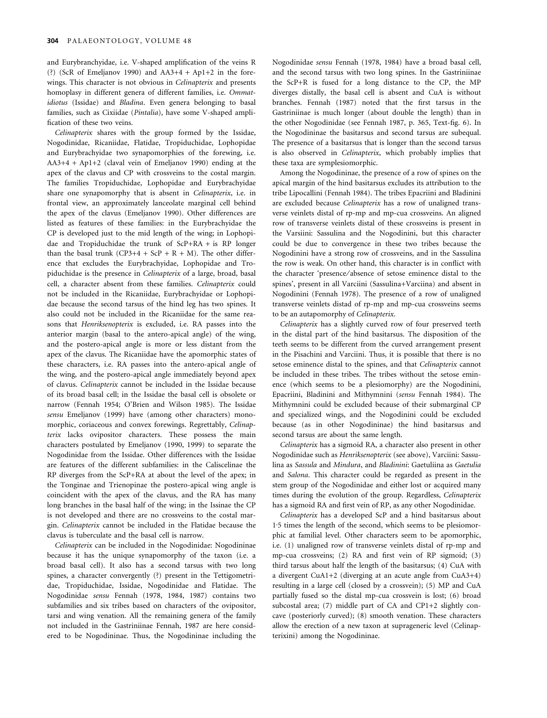and Eurybranchyidae, i.e. V-shaped amplification of the veins R (?) (ScR of Emeljanov 1990) and AA3+4 + Ap1+2 in the forewings. This character is not obvious in Celinapterix and presents homoplasy in different genera of different families, i.e. Ommatidiotus (Issidae) and Bladina. Even genera belonging to basal families, such as Cixiidae (Pintalia), have some V-shaped amplification of these two veins.

Celinapterix shares with the group formed by the Issidae, Nogodinidae, Ricaniidae, Flatidae, Tropiduchidae, Lophopidae and Eurybrachyidae two synapomorphies of the forewing, i.e. AA3+4 + Ap1+2 (claval vein of Emeljanov 1990) ending at the apex of the clavus and CP with crossveins to the costal margin. The families Tropiduchidae, Lophopidae and Eurybrachyidae share one synapomorphy that is absent in Celinapterix, i.e. in frontal view, an approximately lanceolate marginal cell behind the apex of the clavus (Emeljanov 1990). Other differences are listed as features of these families: in the Eurybrachyidae the CP is developed just to the mid length of the wing; in Lophopidae and Tropiduchidae the trunk of ScP+RA + is RP longer than the basal trunk (CP3+4 + ScP + R + M). The other difference that excludes the Eurybrachyidae, Lophopidae and Tropiduchidae is the presence in Celinapterix of a large, broad, basal cell, a character absent from these families. Celinapterix could not be included in the Ricaniidae, Eurybrachyidae or Lophopidae because the second tarsus of the hind leg has two spines. It also could not be included in the Ricaniidae for the same reasons that Henriksenopterix is excluded, i.e. RA passes into the anterior margin (basal to the antero-apical angle) of the wing, and the postero-apical angle is more or less distant from the apex of the clavus. The Ricaniidae have the apomorphic states of these characters, i.e. RA passes into the antero-apical angle of the wing, and the postero-apical angle immediately beyond apex of clavus. Celinapterix cannot be included in the Issidae because of its broad basal cell; in the Issidae the basal cell is obsolete or narrow (Fennah 1954; O'Brien and Wilson 1985). The Issidae sensu Emeljanov (1999) have (among other characters) monomorphic, coriaceous and convex forewings. Regrettably, Celinapterix lacks ovipositor characters. These possess the main characters postulated by Emeljanov (1990, 1999) to separate the Nogodinidae from the Issidae. Other differences with the Issidae are features of the different subfamilies: in the Caliscelinae the RP diverges from the ScP+RA at about the level of the apex; in the Tonginae and Trienopinae the postero-apical wing angle is coincident with the apex of the clavus, and the RA has many long branches in the basal half of the wing; in the Issinae the CP is not developed and there are no crossveins to the costal margin. Celinapterix cannot be included in the Flatidae because the clavus is tuberculate and the basal cell is narrow.

Celinapterix can be included in the Nogodinidae: Nogodininae because it has the unique synapomorphy of the taxon (i.e. a broad basal cell). It also has a second tarsus with two long spines, a character convergently (?) present in the Tettigometridae, Tropiduchidae, Issidae, Nogodinidae and Flatidae. The Nogodinidae sensu Fennah (1978, 1984, 1987) contains two subfamilies and six tribes based on characters of the ovipositor, tarsi and wing venation. All the remaining genera of the family not included in the Gastriniinae Fennah, 1987 are here considered to be Nogodininae. Thus, the Nogodininae including the Nogodinidae sensu Fennah (1978, 1984) have a broad basal cell, and the second tarsus with two long spines. In the Gastriniinae the ScP+R is fused for a long distance to the CP, the MP diverges distally, the basal cell is absent and CuA is without branches. Fennah (1987) noted that the first tarsus in the Gastriniinae is much longer (about double the length) than in the other Nogodinidae (see Fennah 1987, p. 365, Text-fig. 6). In the Nogodininae the basitarsus and second tarsus are subequal. The presence of a basitarsus that is longer than the second tarsus is also observed in Celinapterix, which probably implies that these taxa are symplesiomorphic.

Among the Nogodininae, the presence of a row of spines on the apical margin of the hind basitarsus excludes its attribution to the tribe Lipocallini (Fennah 1984). The tribes Epacriini and Bladinini are excluded because Celinapterix has a row of unaligned transverse veinlets distal of rp-mp and mp-cua crossveins. An aligned row of transverse veinlets distal of these crossveins is present in the Varsiini: Sassulina and the Nogodinini, but this character could be due to convergence in these two tribes because the Nogodinini have a strong row of crossveins, and in the Sassulina the row is weak. On other hand, this character is in conflict with the character 'presence ⁄ absence of setose eminence distal to the spines', present in all Varciini (Sassulina+Varciina) and absent in Nogodinini (Fennah 1978). The presence of a row of unaligned transverse veinlets distad of rp-mp and mp-cua crossveins seems to be an autapomorphy of Celinapterix.

Celinapterix has a slightly curved row of four preserved teeth in the distal part of the hind basitarsus. The disposition of the teeth seems to be different from the curved arrangement present in the Pisachini and Varciini. Thus, it is possible that there is no setose eminence distal to the spines, and that Celinapterix cannot be included in these tribes. The tribes without the setose eminence (which seems to be a plesiomorphy) are the Nogodinini, Epacriini, Bladinini and Mithymnini (sensu Fennah 1984). The Mithymnini could be excluded because of their submarginal CP and specialized wings, and the Nogodinini could be excluded because (as in other Nogodininae) the hind basitarsus and second tarsus are about the same length.

Celinapterix has a sigmoid RA, a character also present in other Nogodinidae such as Henriksenopterix (see above), Varciini: Sassulina as Sassula and Mindura, and Bladinini: Gaetuliina as Gaetulia and Salona. This character could be regarded as present in the stem group of the Nogodinidae and either lost or acquired many times during the evolution of the group. Regardless, Celinapterix has a sigmoid RA and first vein of RP, as any other Nogodinidae.

Celinapterix has a developed ScP and a hind basitarsus about 1.5 times the length of the second, which seems to be plesiomorphic at familial level. Other characters seem to be apomorphic, i.e. (1) unaligned row of transverse veinlets distal of rp-mp and mp-cua crossveins; (2) RA and first vein of RP sigmoid; (3) third tarsus about half the length of the basitarsus; (4) CuA with a divergent CuA1+2 (diverging at an acute angle from CuA3+4) resulting in a large cell (closed by a crossvein); (5) MP and CuA partially fused so the distal mp-cua crossvein is lost; (6) broad subcostal area; (7) middle part of CA and CP1+2 slightly concave (posteriorly curved); (8) smooth venation. These characters allow the erection of a new taxon at suprageneric level (Celinapterixini) among the Nogodininae.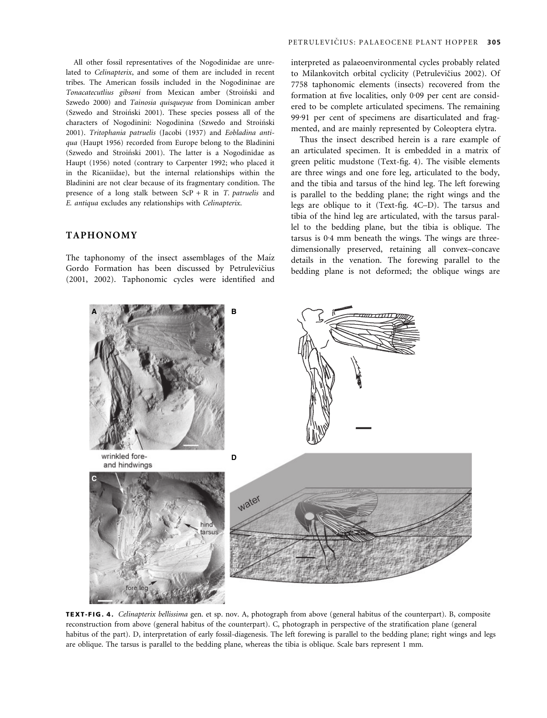All other fossil representatives of the Nogodinidae are unrelated to Celinapterix, and some of them are included in recent tribes. The American fossils included in the Nogodininae are Tonacatecutlius gibsoni from Mexican amber (Stroiński and Szwedo 2000) and Tainosia quisqueyae from Dominican amber (Szwedo and Stroin<sup>ski 2001)</sup>. These species possess all of the characters of Nogodinini: Nogodinina (Szwedo and Stroiński 2001). Tritophania patruelis (Jacobi (1937) and Eobladina antiqua (Haupt 1956) recorded from Europe belong to the Bladinini (Szwedo and Stroiński 2001). The latter is a Nogodinidae as Haupt (1956) noted (contrary to Carpenter 1992; who placed it in the Ricaniidae), but the internal relationships within the Bladinini are not clear because of its fragmentary condition. The presence of a long stalk between  $ScP + R$  in *T. patruelis* and E. antiqua excludes any relationships with Celinapterix.

## TAPHONOMY

The taphonomy of the insect assemblages of the Maíz Gordo Formation has been discussed by Petrulevičius (2001, 2002). Taphonomic cycles were identified and

interpreted as palaeoenvironmental cycles probably related to Milankovitch orbital cyclicity (Petrulevičius 2002). Of 7758 taphonomic elements (insects) recovered from the formation at five localities, only 0.09 per cent are considered to be complete articulated specimens. The remaining 99.91 per cent of specimens are disarticulated and fragmented, and are mainly represented by Coleoptera elytra.

Thus the insect described herein is a rare example of an articulated specimen. It is embedded in a matrix of green pelitic mudstone (Text-fig. 4). The visible elements are three wings and one fore leg, articulated to the body, and the tibia and tarsus of the hind leg. The left forewing is parallel to the bedding plane; the right wings and the legs are oblique to it (Text-fig. 4C–D). The tarsus and tibia of the hind leg are articulated, with the tarsus parallel to the bedding plane, but the tibia is oblique. The tarsus is  $0.4$  mm beneath the wings. The wings are threedimensionally preserved, retaining all convex–concave details in the venation. The forewing parallel to the bedding plane is not deformed; the oblique wings are



TEXT-FIG. 4. Celinapterix bellissima gen. et sp. nov. A, photograph from above (general habitus of the counterpart). B, composite reconstruction from above (general habitus of the counterpart). C, photograph in perspective of the stratification plane (general habitus of the part). D, interpretation of early fossil-diagenesis. The left forewing is parallel to the bedding plane; right wings and legs are oblique. The tarsus is parallel to the bedding plane, whereas the tibia is oblique. Scale bars represent 1 mm.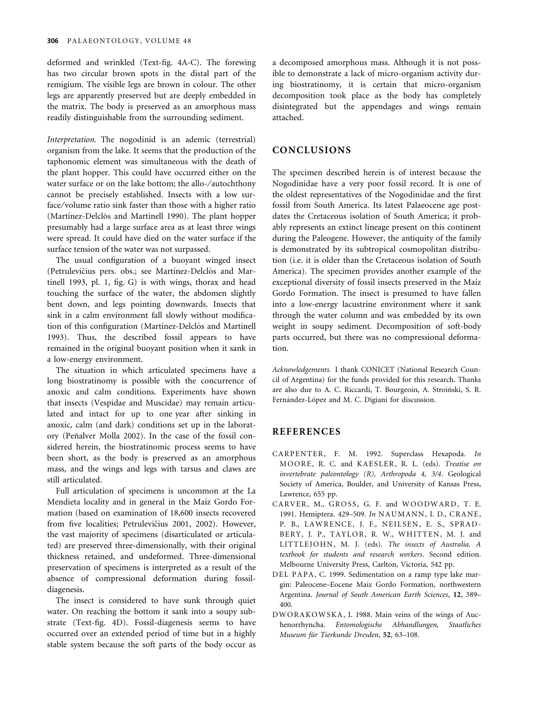deformed and wrinkled (Text-fig. 4A-C). The forewing has two circular brown spots in the distal part of the remigium. The visible legs are brown in colour. The other legs are apparently preserved but are deeply embedded in the matrix. The body is preserved as an amorphous mass readily distinguishable from the surrounding sediment.

Interpretation. The nogodinid is an ademic (terrestrial) organism from the lake. It seems that the production of the taphonomic element was simultaneous with the death of the plant hopper. This could have occurred either on the water surface or on the lake bottom; the allo-⁄ autochthony cannot be precisely established. Insects with a low surface ⁄ volume ratio sink faster than those with a higher ratio (Martínez-Delclòs and Martinell 1990). The plant hopper presumably had a large surface area as at least three wings were spread. It could have died on the water surface if the surface tension of the water was not surpassed.

The usual configuration of a buoyant winged insect (Petrulevičius pers. obs.; see Martínez-Delclòs and Martinell 1993, pl. 1, fig. G) is with wings, thorax and head touching the surface of the water, the abdomen slightly bent down, and legs pointing downwards. Insects that sink in a calm environment fall slowly without modification of this configuration (Martínez-Delclòs and Martinell 1993). Thus, the described fossil appears to have remained in the original buoyant position when it sank in a low-energy environment.

The situation in which articulated specimens have a long biostratinomy is possible with the concurrence of anoxic and calm conditions. Experiments have shown that insects (Vespidae and Muscidae) may remain articulated and intact for up to one year after sinking in anoxic, calm (and dark) conditions set up in the laboratory (Peñalver Molla 2002). In the case of the fossil considered herein, the biostratinomic process seems to have been short, as the body is preserved as an amorphous mass, and the wings and legs with tarsus and claws are still articulated.

Full articulation of specimens is uncommon at the La Mendieta locality and in general in the Maíz Gordo Formation (based on examination of 18,600 insects recovered from five localities; Petrulevičius 2001, 2002). However, the vast majority of specimens (disarticulated or articulated) are preserved three-dimensionally, with their original thickness retained, and undeformed. Three-dimensional preservation of specimens is interpreted as a result of the absence of compressional deformation during fossildiagenesis.

The insect is considered to have sunk through quiet water. On reaching the bottom it sank into a soupy substrate (Text-fig. 4D). Fossil-diagenesis seems to have occurred over an extended period of time but in a highly stable system because the soft parts of the body occur as

a decomposed amorphous mass. Although it is not possible to demonstrate a lack of micro-organism activity during biostratinomy, it is certain that micro-organism decomposition took place as the body has completely disintegrated but the appendages and wings remain attached.

## CONCLUSIONS

The specimen described herein is of interest because the Nogodinidae have a very poor fossil record. It is one of the oldest representatives of the Nogodinidae and the first fossil from South America. Its latest Palaeocene age postdates the Cretaceous isolation of South America; it probably represents an extinct lineage present on this continent during the Paleogene. However, the antiquity of the family is demonstrated by its subtropical cosmopolitan distribution (i.e. it is older than the Cretaceous isolation of South America). The specimen provides another example of the exceptional diversity of fossil insects preserved in the Maíz Gordo Formation. The insect is presumed to have fallen into a low-energy lacustrine environment where it sank through the water column and was embedded by its own weight in soupy sediment. Decomposition of soft-body parts occurred, but there was no compressional deformation.

Acknowledgements. I thank CONICET (National Research Council of Argentina) for the funds provided for this research. Thanks are also due to A. C. Riccardi, T. Bourgeoin, A. Stroinski, S. R. Fernández-López and M. C. Digiani for discussion.

## REFERENCES

- CARPENTER, F. M. 1992. Superclass Hexapoda. In MOORE, R. C. and KAESLER, R. L. (eds). Treatise on invertebrate paleontology (R), Arthropoda 4, 3/4. Geological Society of America, Boulder, and University of Kansas Press, Lawrence, 655 pp.
- CARVER, M., GROSS, G. F. and WOODWARD, T. E. 1991. Hemiptera. 429-509. In NAUMANN, I. D., CRANE, P. B., LAWRENCE, J. F., NEILSEN, E. S., SPRAD-BERY, J. P., TAYLOR, R. W., WHITTEN, M. J. and LITTLEJOHN, M. J. (eds). The insects of Australia. A textbook for students and research workers. Second edition. Melbourne University Press, Carlton, Victoria, 542 pp.
- DEL PAPA, C. 1999. Sedimentation on a ramp type lake margin: Paleocene–Eocene Maı´z Gordo Formation, northwestern Argentina. Journal of South American Earth Sciences, 12, 389– 400.
- D W ORAKO W SKA, I. 1988. Main veins of the wings of Auchenorrhyncha. Entomologische Abhandlungen, Staatliches Museum für Tierkunde Dresden, 52, 63-108.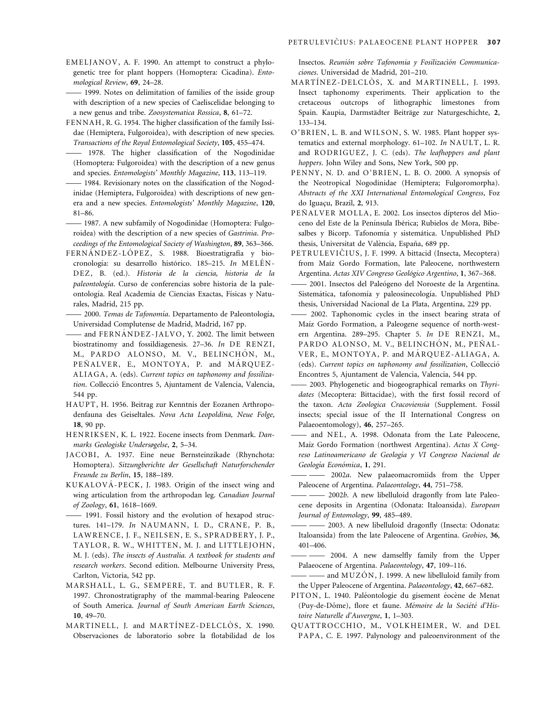- $EMELJANOV$ , A. F. 1990. An attempt to construct a phylogenetic tree for plant hoppers (Homoptera: Cicadina). Entomological Review, 69, 24–28.
- —— 1999. Notes on delimitation of families of the isside group with description of a new species of Caeliscelidae belonging to a new genus and tribe. Zoosystematica Rossica, 8, 61–72.
- FENNAH, R. G. 1954. The higher classification of the family Issidae (Hemiptera, Fulgoroidea), with description of new species. Transactions of the Royal Entomological Society, 105, 455–474.
- —— 1978. The higher classification of the Nogodinidae (Homoptera: Fulgoroidea) with the description of a new genus and species. Entomologists' Monthly Magazine, 113, 113–119.
- —— 1984. Revisionary notes on the classification of the Nogodinidae (Hemiptera, Fulgoroidea) with descriptions of new genera and a new species. Entomologists' Monthly Magazine, 120, 81–86.
- —— 1987. A new subfamily of Nogodinidae (Homoptera: Fulgoroidea) with the description of a new species of Gastrinia. Proceedings of the Entomological Society of Washington, 89, 363–366.
- FERNÁNDEZ-LÓPEZ, S. 1988. Bioestratigrafía y biocronología: su desarrollo histórico. 185-215. In MELÉN-DEZ, B. (ed.). Historia de la ciencia, historia de la paleontología. Curso de conferencias sobre historia de la paleontología. Real Academia de Ciencias Exactas, Físicas y Naturales, Madrid, 215 pp.
- 2000. Temas de Tafonomía. Departamento de Paleontología, Universidad Complutense de Madrid, Madrid, 167 pp.
- —— and F E R N A´ N D E Z J A L V O, Y. 2002. The limit between biostratinomy and fossildiagenesis. 27–36. In DE RENZI, M., PARDO ALONSO, M. V., BELINCHÓN, M., PEÑALVER, E., MONTOYA, P. and MÁRQUEZ-ALIAGA, A. (eds). Current topics on taphonomy and fossilization. Collecció Encontres 5, Ajuntament de Valencia, Valencia, 544 pp.
- HAUPT, H. 1956. Beitrag zur Kenntnis der Eozanen Arthropodenfauna des Geiseltales. Nova Acta Leopoldina, Neue Folge, 18, 90 pp.
- HENRIKSEN, K. L. 1922. Eocene insects from Denmark. Danmarks Geologiske Undersøgelse, 2, 5–34.
- J A CO BI, A. 1937. Eine neue Bernsteinzikade (Rhynchota: Homoptera). Sitzungberichte der Gesellschaft Naturforschender Freunde zu Berlin, 15, 188–189.
- KUKALOVÁ-PECK, J. 1983. Origin of the insect wing and wing articulation from the arthropodan leg. Canadian Journal of Zoology, 61, 1618–1669.
- 1991. Fossil history and the evolution of hexapod structures. 141-179. In NAUMANN, I. D., CRANE, P. B., LAWRENCE, J. F., NEILSEN, E. S., SPRADBERY, J. P., TAYLOR, R. W., WHITTEN, M. J. and LITTLEJOHN, M. J. (eds). The insects of Australia. A textbook for students and research workers. Second edition. Melbourne University Press, Carlton, Victoria, 542 pp.
- MARSHALL, L. G., SEMPERE, T. and BUTLER, R. F. 1997. Chronostratigraphy of the mammal-bearing Paleocene of South America. Journal of South American Earth Sciences, 10, 49–70.
- MARTINELL, J. and MARTÍNEZ-DELCLÒS, X. 1990. Observaciones de laboratorio sobre la flotabilidad de los

Insectos. Reunión sobre Tafonomia y Fosilización Communicaciones. Universidad de Madrid, 201–210.

- MARTÍNEZ-DELCLÒS, X. and MARTINELL, J. 1993. Insect taphonomy experiments. Their application to the cretaceous outcrops of lithographic limestones from Spain. Kaupia, Darmstädter Beiträge zur Naturgeschichte, 2, 133–134.
- O'BRIEN, L. B. and WILSON, S. W. 1985. Plant hopper systematics and external morphology. 61-102. In NAULT, L. R. and RODRIGUEZ, J. C. (eds). The leafhoppers and plant hoppers. John Wiley and Sons, New York, 500 pp.
- PENNY, N. D. and O'BRIEN, L. B. O. 2000. A synopsis of the Neotropical Nogodinidae (Hemiptera; Fulgoromorpha). Abstracts of the XXI International Entomological Congress, Foz do Iguacu, Brazil, 2, 913.
- PEÑALVER MOLLA, E. 2002. Los insectos dípteros del Mioceno del Este de la Península Ibérica; Rubielos de Mora, Bibesalbes y Bicorp. Tafonomía y sistemática. Unpublished PhD thesis, Universitat de València, España, 689 pp.
- PETRULEVIČIUS, J. F. 1999. A bittacid (Insecta, Mecoptera) from Maíz Gordo Formation, late Paleocene, northwestern Argentina. Actas XIV Congreso Geológico Argentino, 1, 367-368.
- 2001. Insectos del Paleógeno del Noroeste de la Argentina. Sistemática, tafonomía y paleosinecología. Unpublished PhD thesis, Universidad Nacional de La Plata, Argentina, 229 pp.
- —— 2002. Taphonomic cycles in the insect bearing strata of Maíz Gordo Formation, a Paleogene sequence of north-western Argentina. 289-295. Chapter 5. In DE RENZI, M., PARDO ALONSO, M. V., BELINCHÓN, M., PEÑAL-VER, E., MONTOYA, P. and MÁRQUEZ-ALIAGA, A. (eds). Current topics on taphonomy and fossilization, Colleccio´ Encontres 5, Ajuntament de Valencia, Valencia, 544 pp.
- 2003. Phylogenetic and biogeographical remarks on Thyridates (Mecoptera: Bittacidae), with the first fossil record of the taxon. Acta Zoologica Cracoviensia (Supplement. Fossil insects; special issue of the II International Congress on Palaeoentomology), 46, 257–265.
- and NEL, A. 1998. Odonata from the Late Paleocene, Maíz Gordo Formation (northwest Argentina). Actas X Congreso Latinoamericano de Geología y VI Congreso Nacional de Geología Económica, 1, 291.
- $-$  2002a. New palaeomacromiids from the Upper Paleocene of Argentina. Palaeontology, 44, 751–758.
- - 2002b. A new libelluloid dragonfly from late Paleocene deposits in Argentina (Odonata: Italoansida). European Journal of Entomology, 99, 485–489.
- $-$  2003. A new libelluloid dragonfly (Insecta: Odonata: Italoansida) from the late Paleocene of Argentina. Geobios, 36, 401–406.
- 2004. A new damselfly family from the Upper Palaeocene of Argentina. Palaeontology, 47, 109–116.
- —— and  $M U Z \acute{O} N$ , J. 1999. A new libelluloid family from the Upper Paleocene of Argentina. Palaeontology, 42, 667–682.
- PITON, L. 1940. Paléontologie du gisement éocène de Menat (Puy-de-Dôme), flore et faune. Mémoire de la Société d'Histoire Naturelle d'Auvergne, 1, 1–303.
- QUATTROCCHIO, M., VOLKHEIMER, W. and DEL PAPA, C. E. 1997. Palynology and paleoenvironment of the